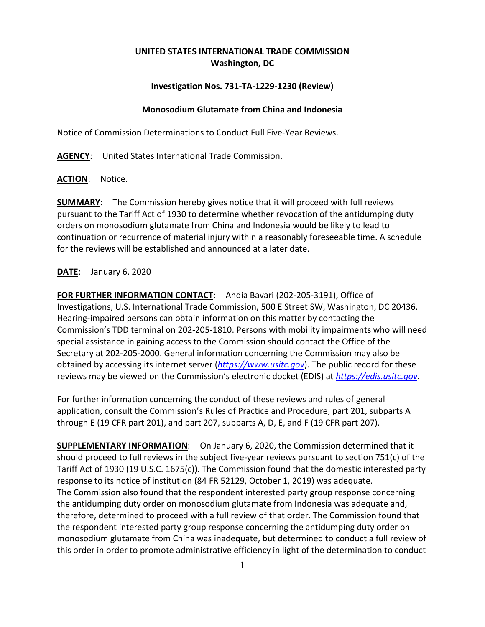## **UNITED STATES INTERNATIONAL TRADE COMMISSION Washington, DC**

## **Investigation Nos. 731-TA-1229-1230 (Review)**

## **Monosodium Glutamate from China and Indonesia**

Notice of Commission Determinations to Conduct Full Five-Year Reviews.

**AGENCY**: United States International Trade Commission.

**ACTION**: Notice.

**SUMMARY**: The Commission hereby gives notice that it will proceed with full reviews pursuant to the Tariff Act of 1930 to determine whether revocation of the antidumping duty orders on monosodium glutamate from China and Indonesia would be likely to lead to continuation or recurrence of material injury within a reasonably foreseeable time. A schedule for the reviews will be established and announced at a later date.

**DATE**: January 6, 2020

**FOR FURTHER INFORMATION CONTACT**: Ahdia Bavari (202-205-3191), Office of Investigations, U.S. International Trade Commission, 500 E Street SW, Washington, DC 20436. Hearing-impaired persons can obtain information on this matter by contacting the Commission's TDD terminal on 202-205-1810. Persons with mobility impairments who will need special assistance in gaining access to the Commission should contact the Office of the Secretary at 202-205-2000. General information concerning the Commission may also be obtained by accessing its internet server (*[https://www.usitc.gov](https://www.usitc.gov/)*). The public record for these reviews may be viewed on the Commission's electronic docket (EDIS) at *[https://edis.usitc.gov](https://edis.usitc.gov/)*.

For further information concerning the conduct of these reviews and rules of general application, consult the Commission's Rules of Practice and Procedure, part 201, subparts A through E (19 CFR part 201), and part 207, subparts A, D, E, and F (19 CFR part 207).

**SUPPLEMENTARY INFORMATION**: On January 6, 2020, the Commission determined that it should proceed to full reviews in the subject five-year reviews pursuant to section 751(c) of the Tariff Act of 1930 (19 U.S.C. 1675(c)). The Commission found that the domestic interested party response to its notice of institution (84 FR 52129, October 1, 2019) was adequate. The Commission also found that the respondent interested party group response concerning the antidumping duty order on monosodium glutamate from Indonesia was adequate and, therefore, determined to proceed with a full review of that order. The Commission found that the respondent interested party group response concerning the antidumping duty order on monosodium glutamate from China was inadequate, but determined to conduct a full review of this order in order to promote administrative efficiency in light of the determination to conduct